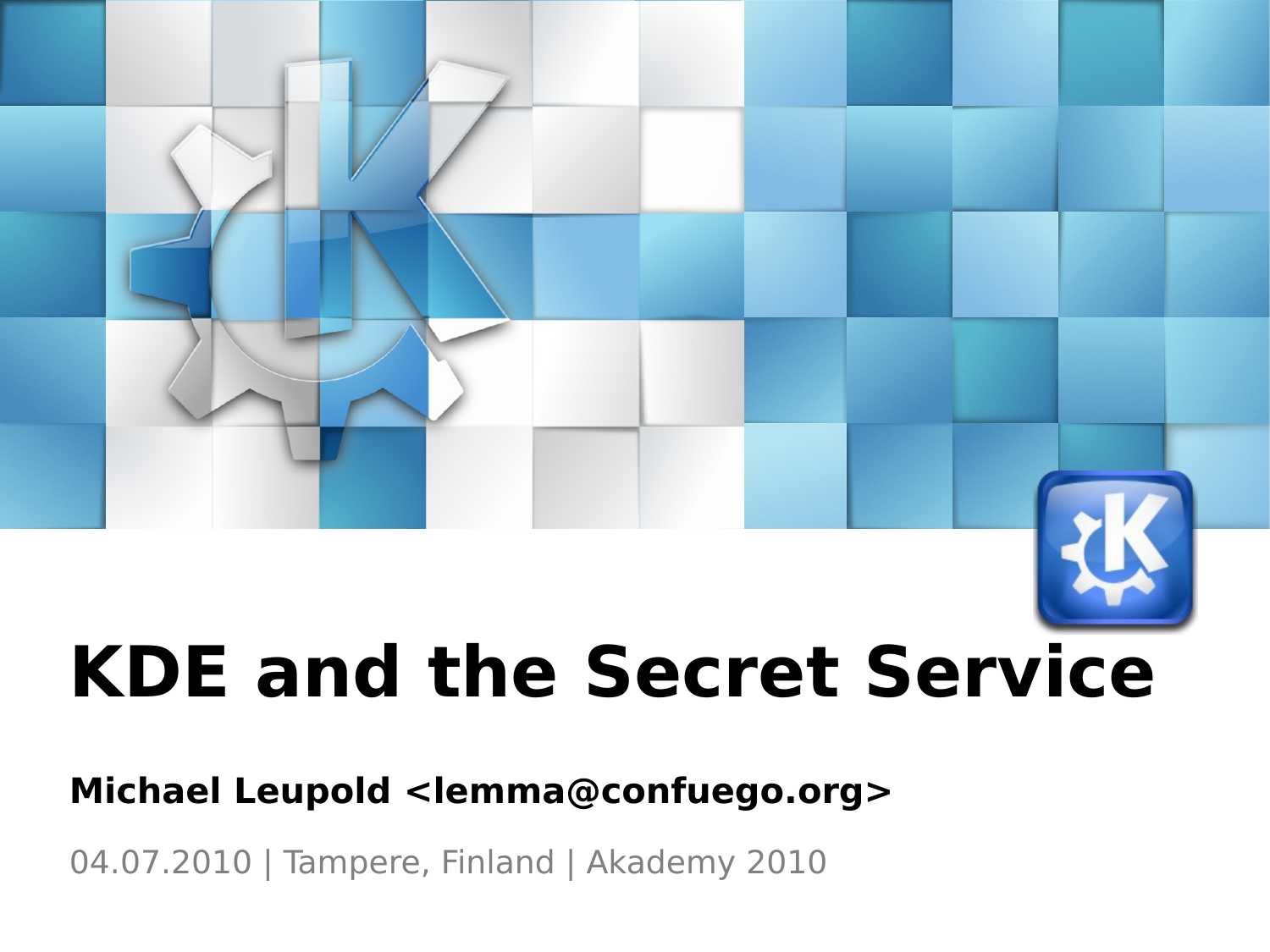# **KDE and the Secret Service**

#### **Michael Leupold <lemma@confuego.org>**

04.07.2010 | Tampere, Finland | Akademy 2010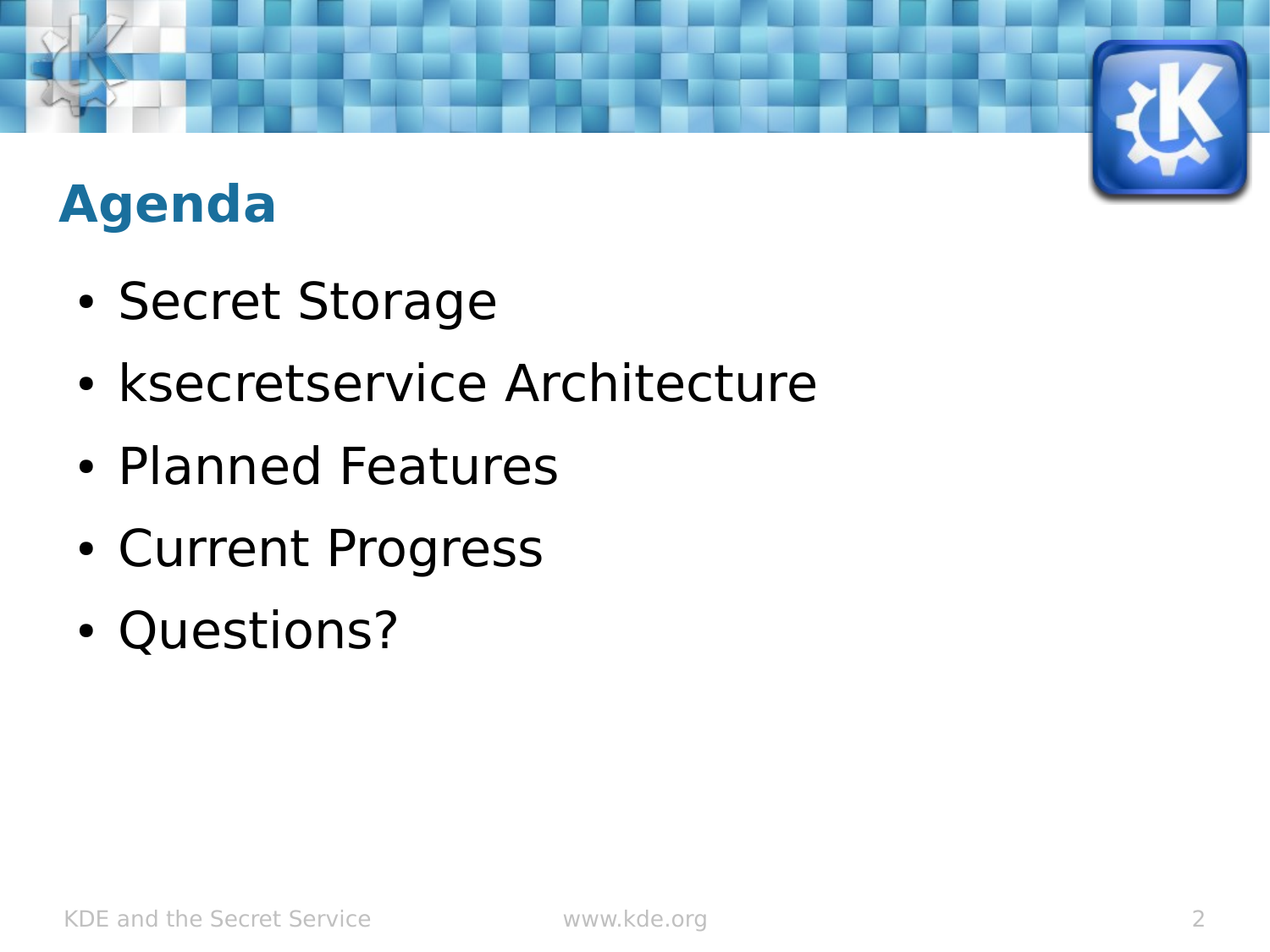### **Agenda**

- Secret Storage
- ksecretservice Architecture
- Planned Features
- Current Progress
- Questions?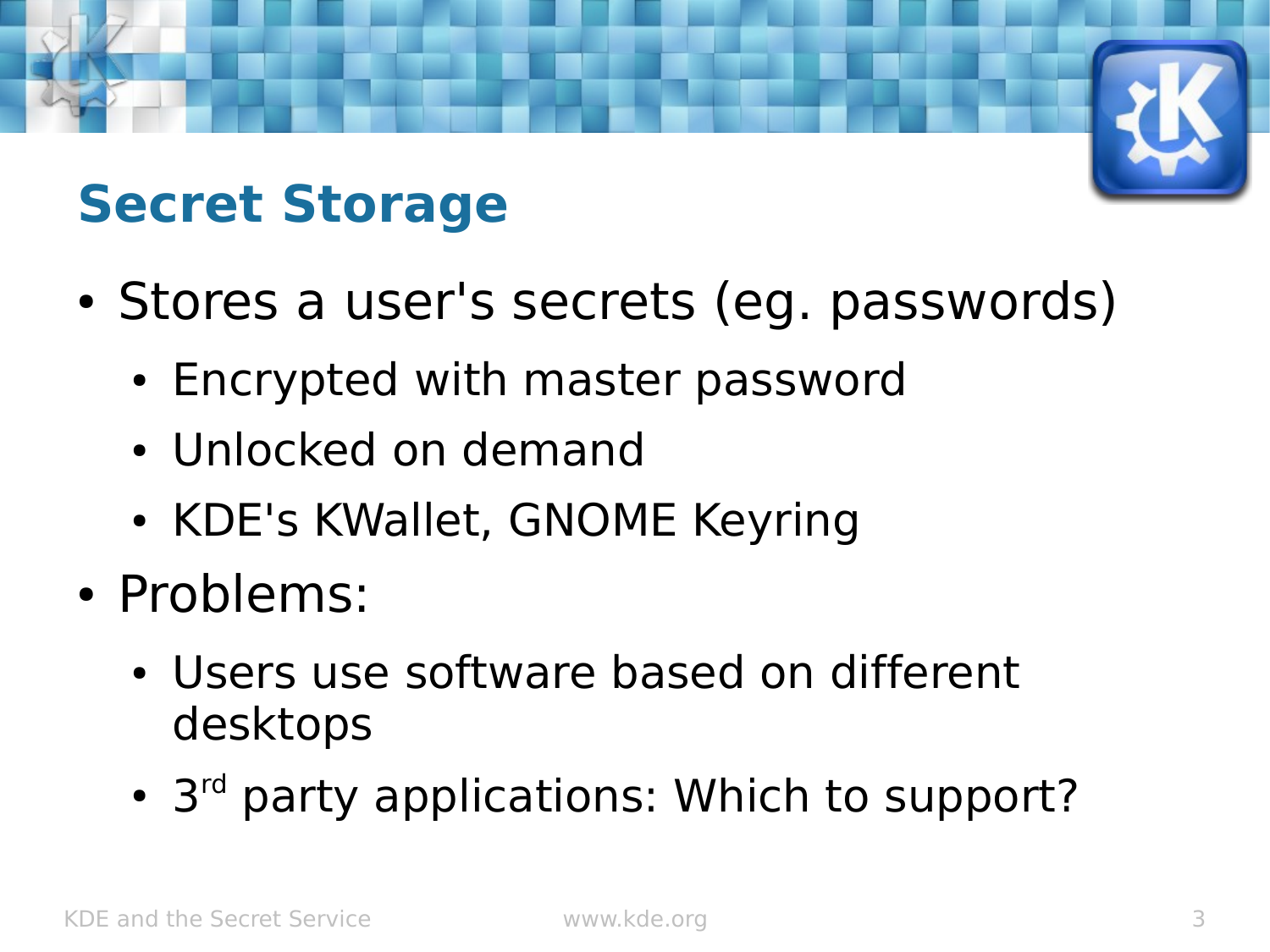### **Secret Storage**

- Stores a user's secrets (eg. passwords)
	- Encrypted with master password
	- Unlocked on demand
	- KDE's KWallet, GNOME Keyring
- Problems:
	- Users use software based on different desktops
	- 3<sup>rd</sup> party applications: Which to support?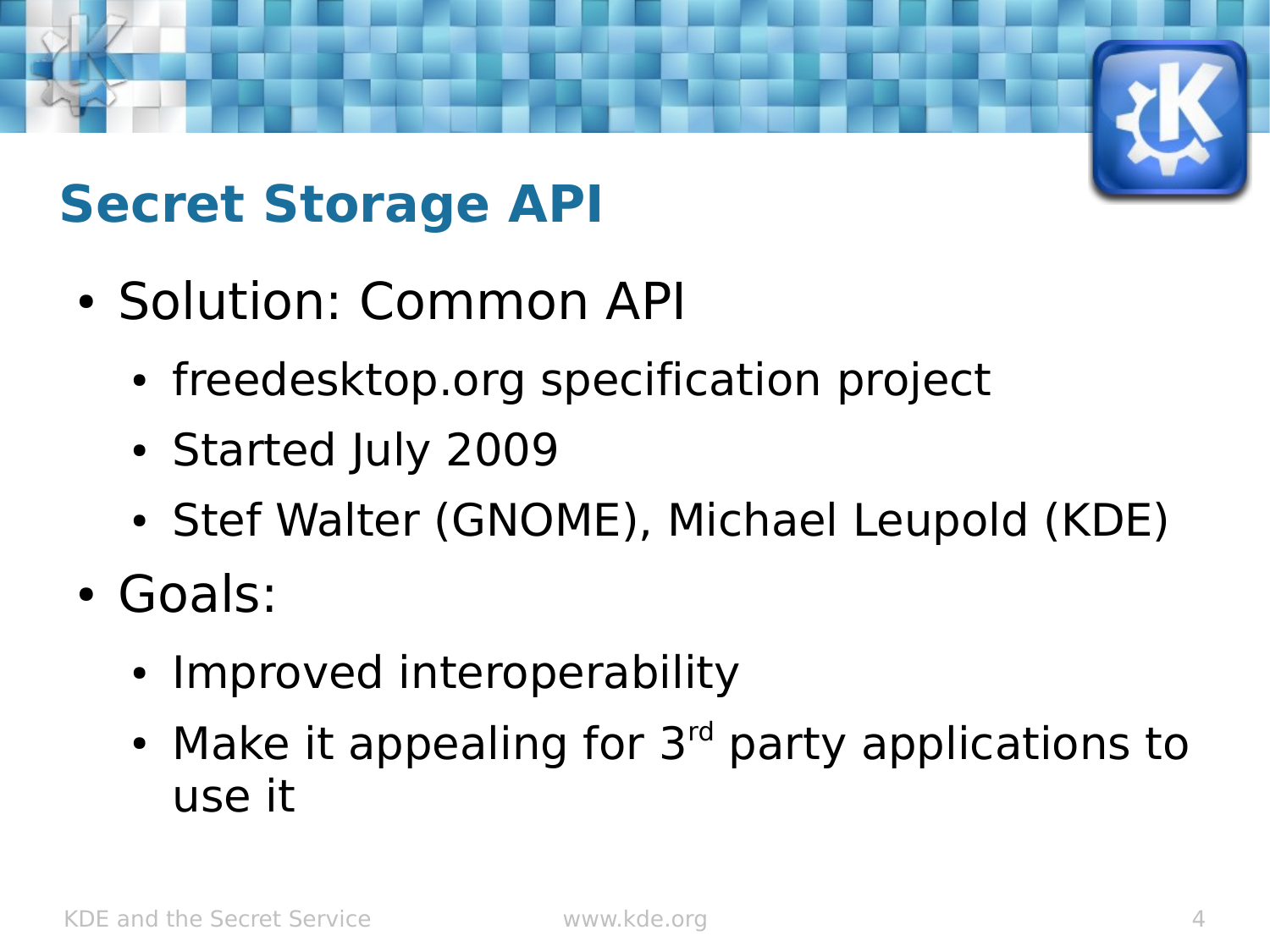# **Secret Storage API**

- Solution: Common API
	- freedesktop.org specification project
	- Started July 2009
	- Stef Walter (GNOME), Michael Leupold (KDE)
- Goals:
	- Improved interoperability
	- Make it appealing for  $3<sup>rd</sup>$  party applications to use it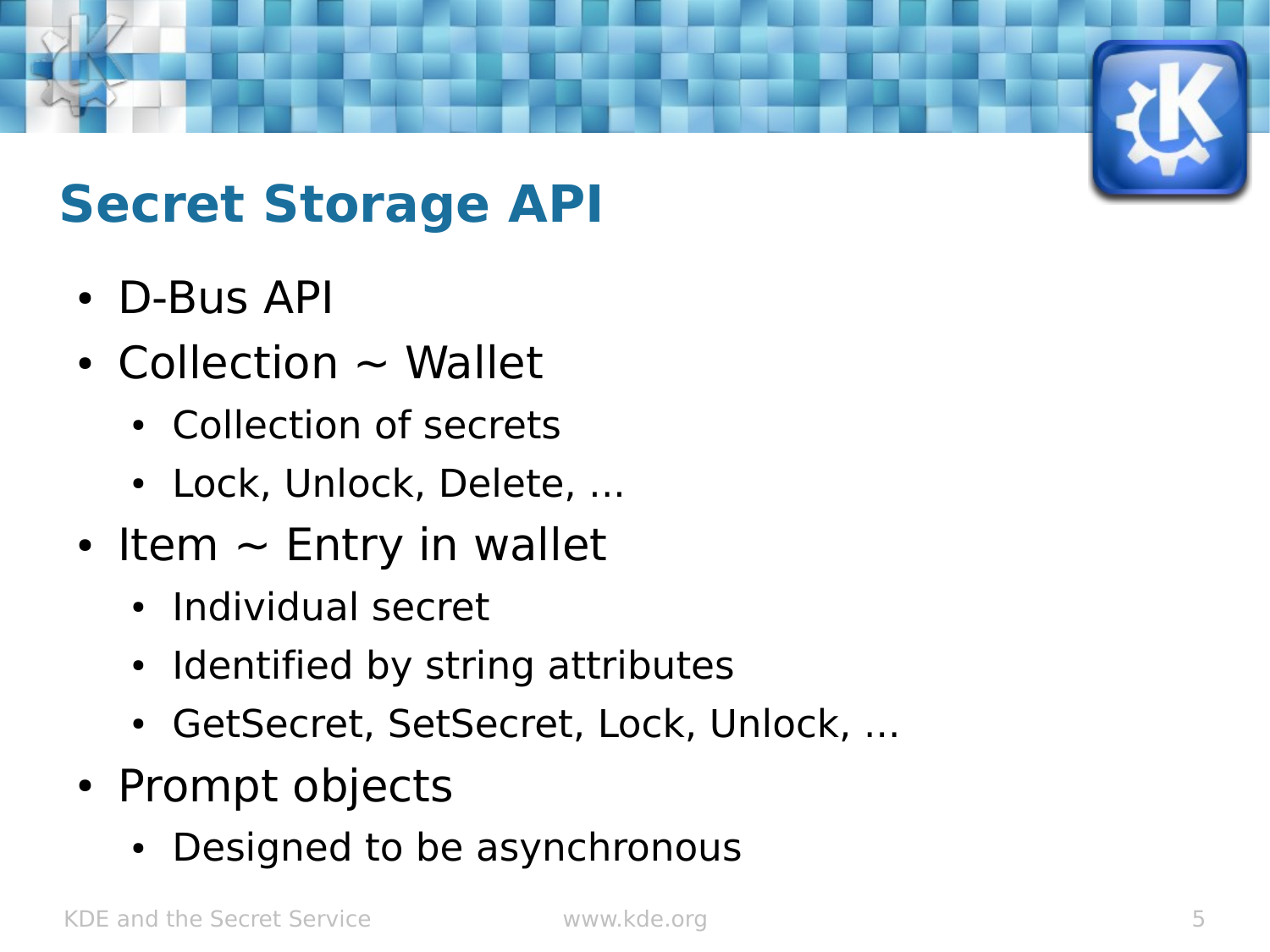### **Secret Storage API**

- D-Bus API
- Collection  $\sim$  Wallet
	- Collection of secrets
	- Lock, Unlock, Delete, ...
- Item  $\sim$  Entry in wallet
	- Individual secret
	- Identified by string attributes
	- GetSecret, SetSecret, Lock, Unlock, ...
- Prompt objects
	- Designed to be asynchronous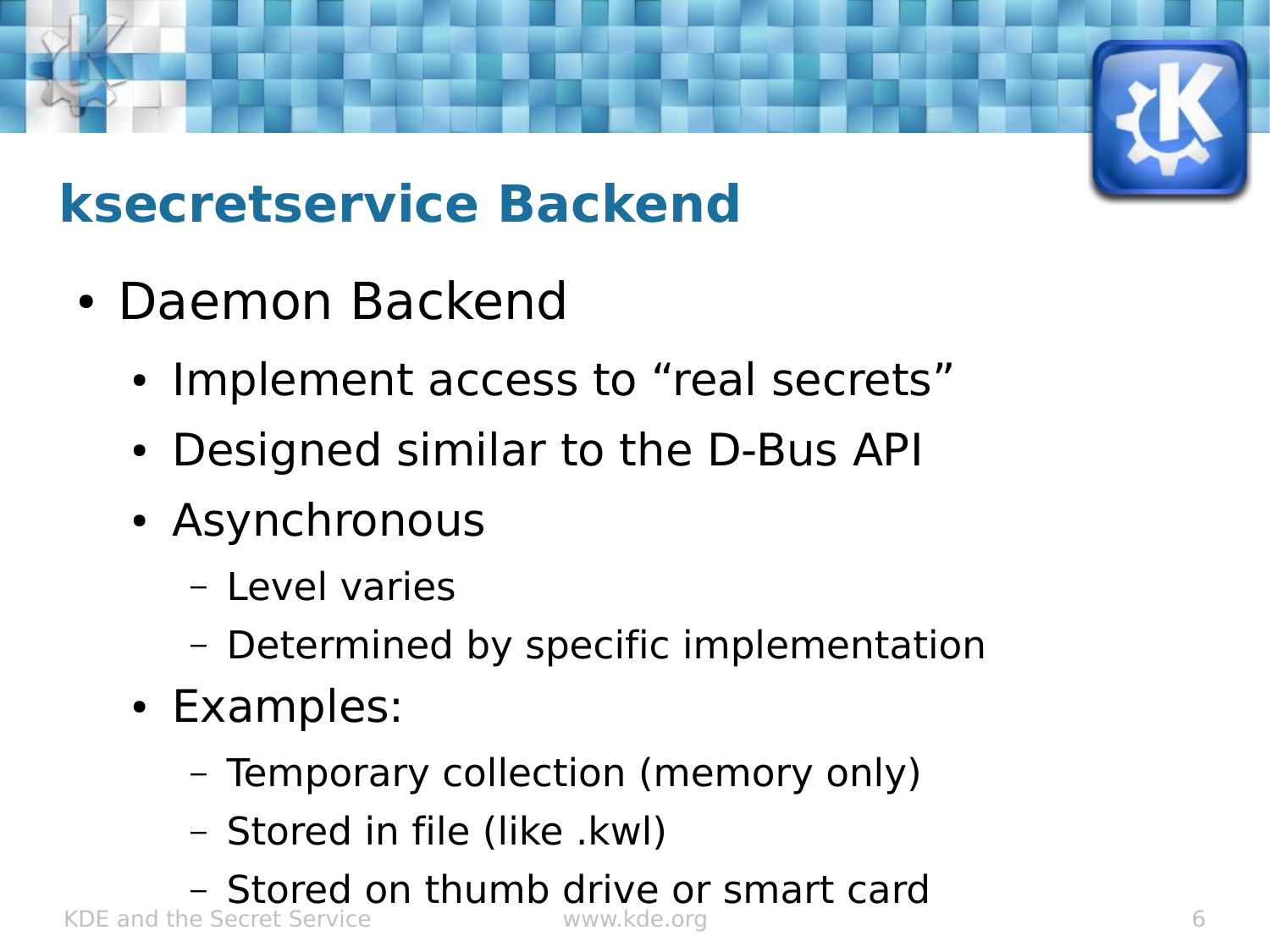## **ksecretservice Backend**

- Daemon Backend
	- Implement access to "real secrets"
	- Designed similar to the D-Bus API
	- Asynchronous
		- Level varies
		- Determined by specific implementation
	- Examples:
		- Temporary collection (memory only)
		- Stored in file (like .kwl)
- KDE and the Secret Service www.kde.org 6 – Stored on thumb drive or smart card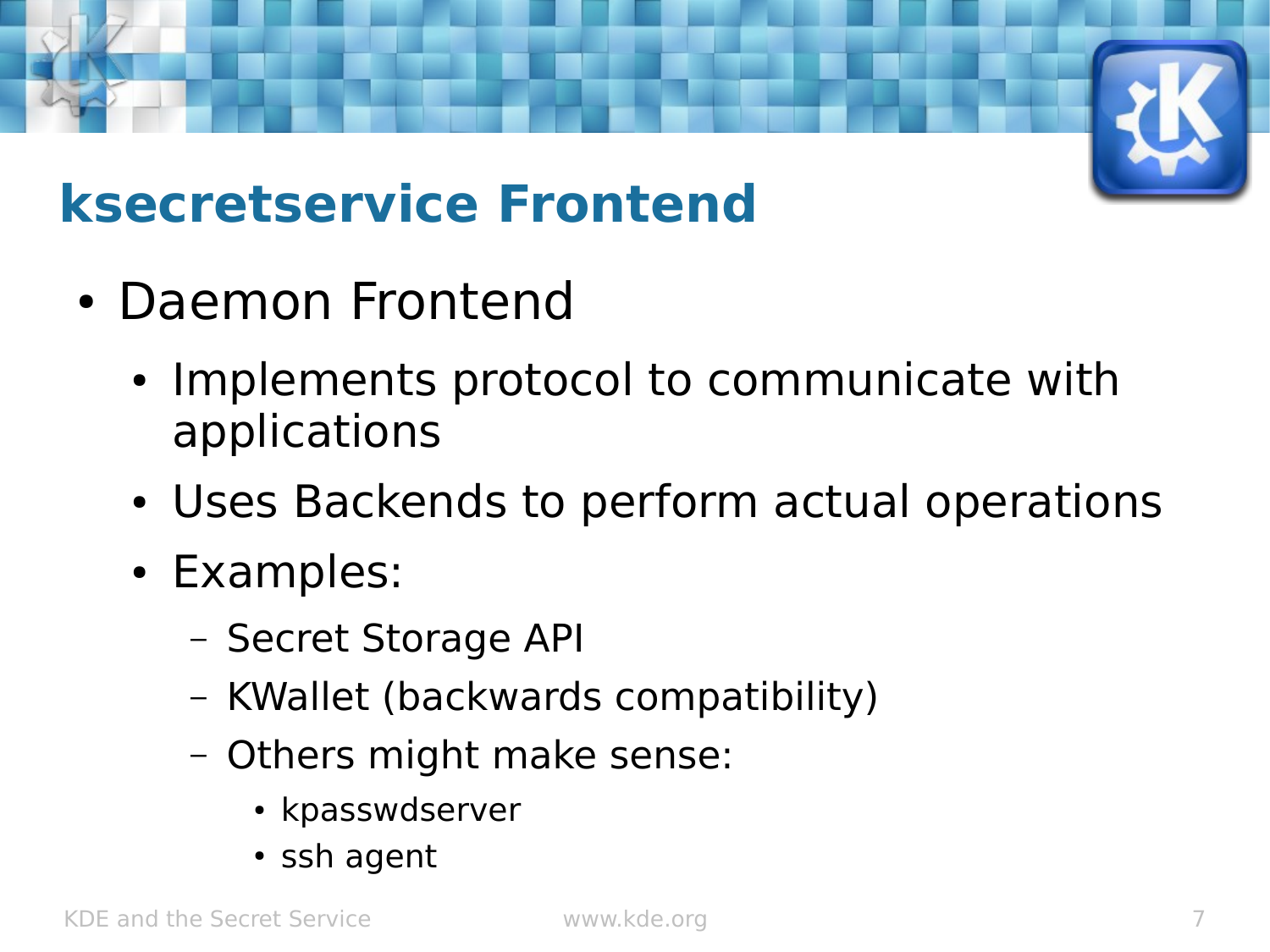

### **ksecretservice Frontend**

- Daemon Frontend
	- Implements protocol to communicate with applications
	- Uses Backends to perform actual operations
	- Examples:
		- Secret Storage API
		- KWallet (backwards compatibility)
		- Others might make sense:
			- kpasswdserver
			- ssh agent

KDE and the Secret Service www.kde.org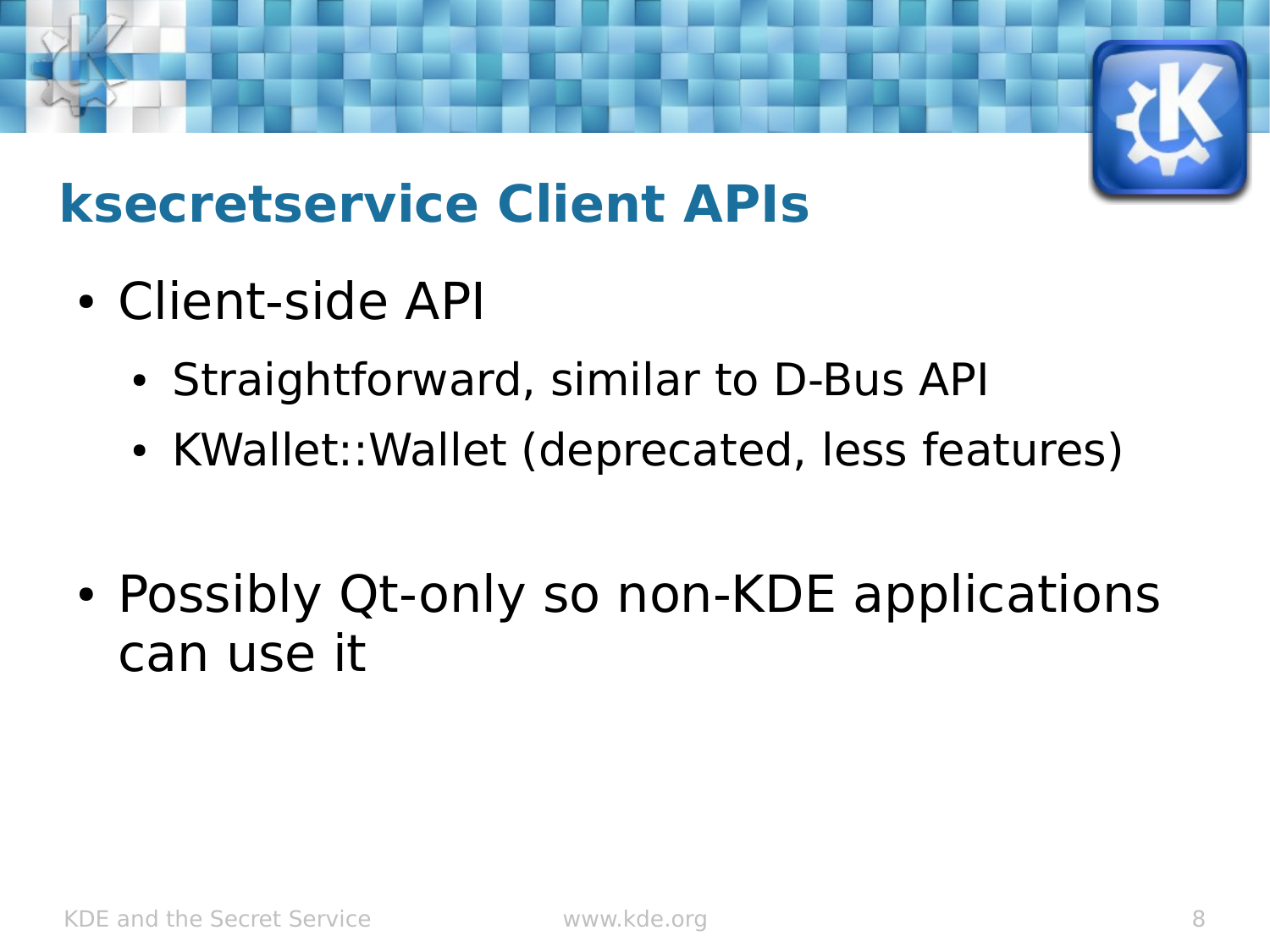

#### **ksecretservice Client APIs**

- Client-side API
	- Straightforward, similar to D-Bus API
	- KWallet::Wallet (deprecated, less features)
- Possibly Qt-only so non-KDE applications can use it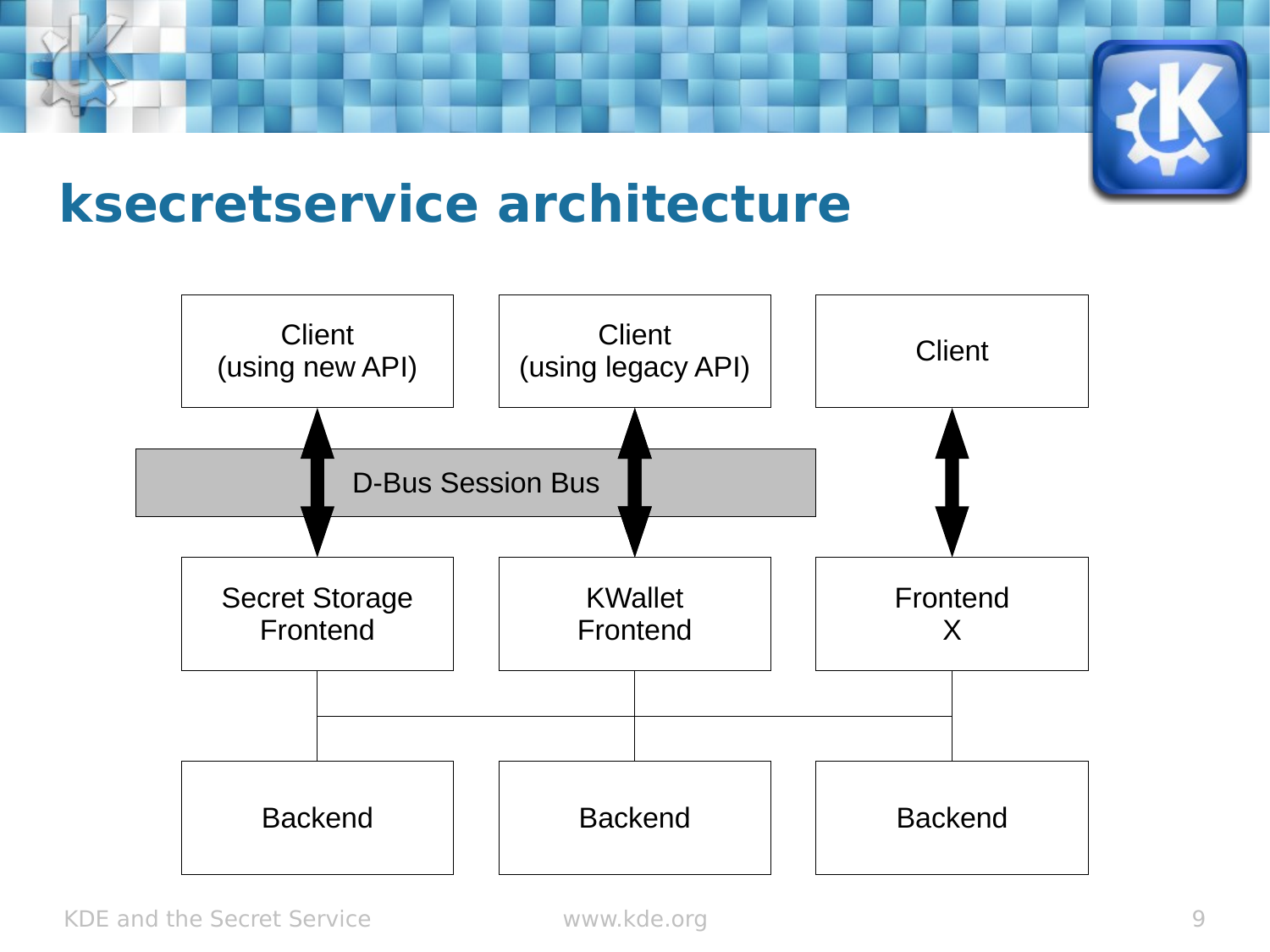

#### **ksecretservice architecture**

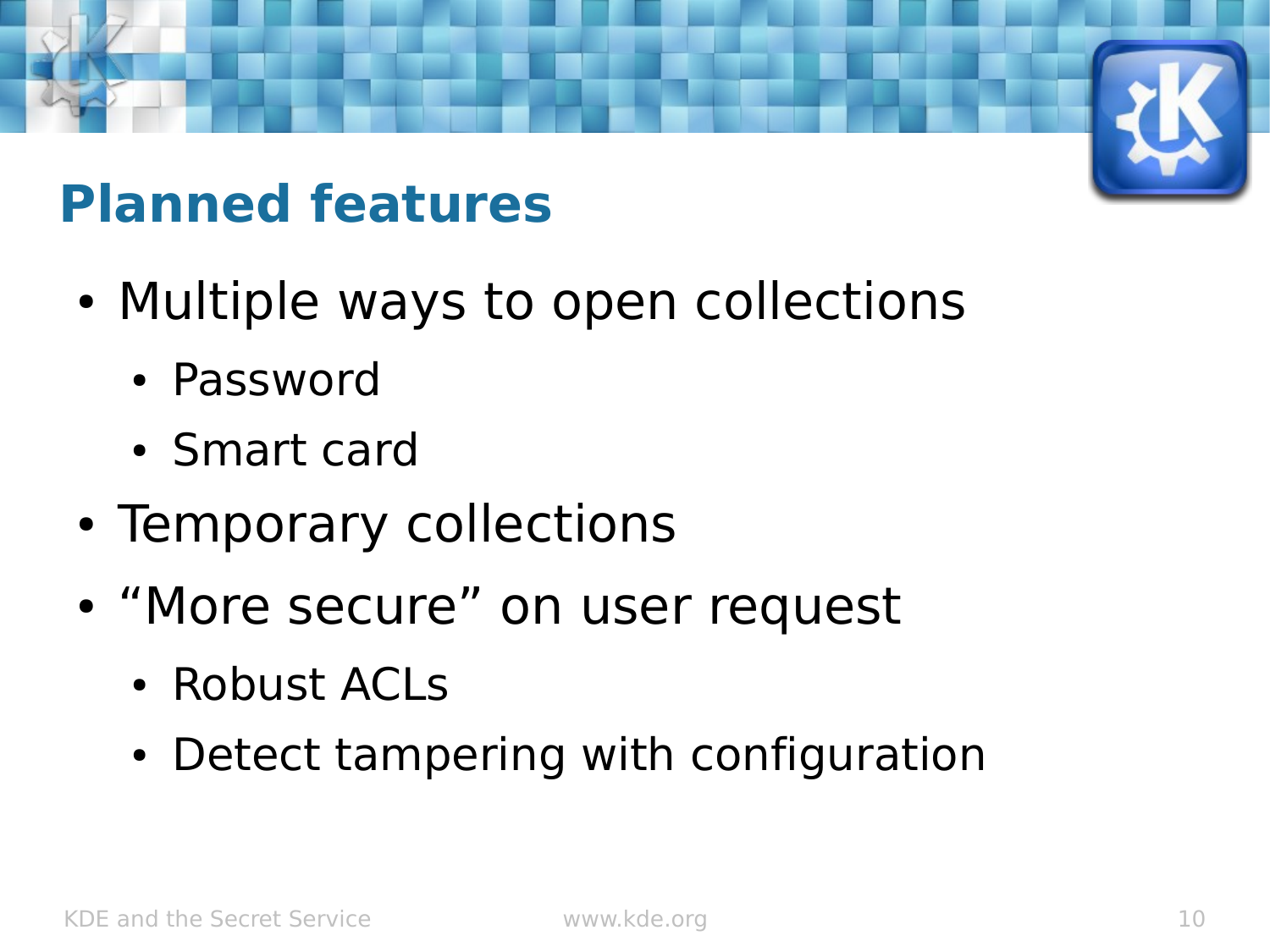

### **Planned features**

- Multiple ways to open collections
	- Password
	- Smart card
- Temporary collections
- "More secure" on user request
	- Robust ACLs
	- Detect tampering with configuration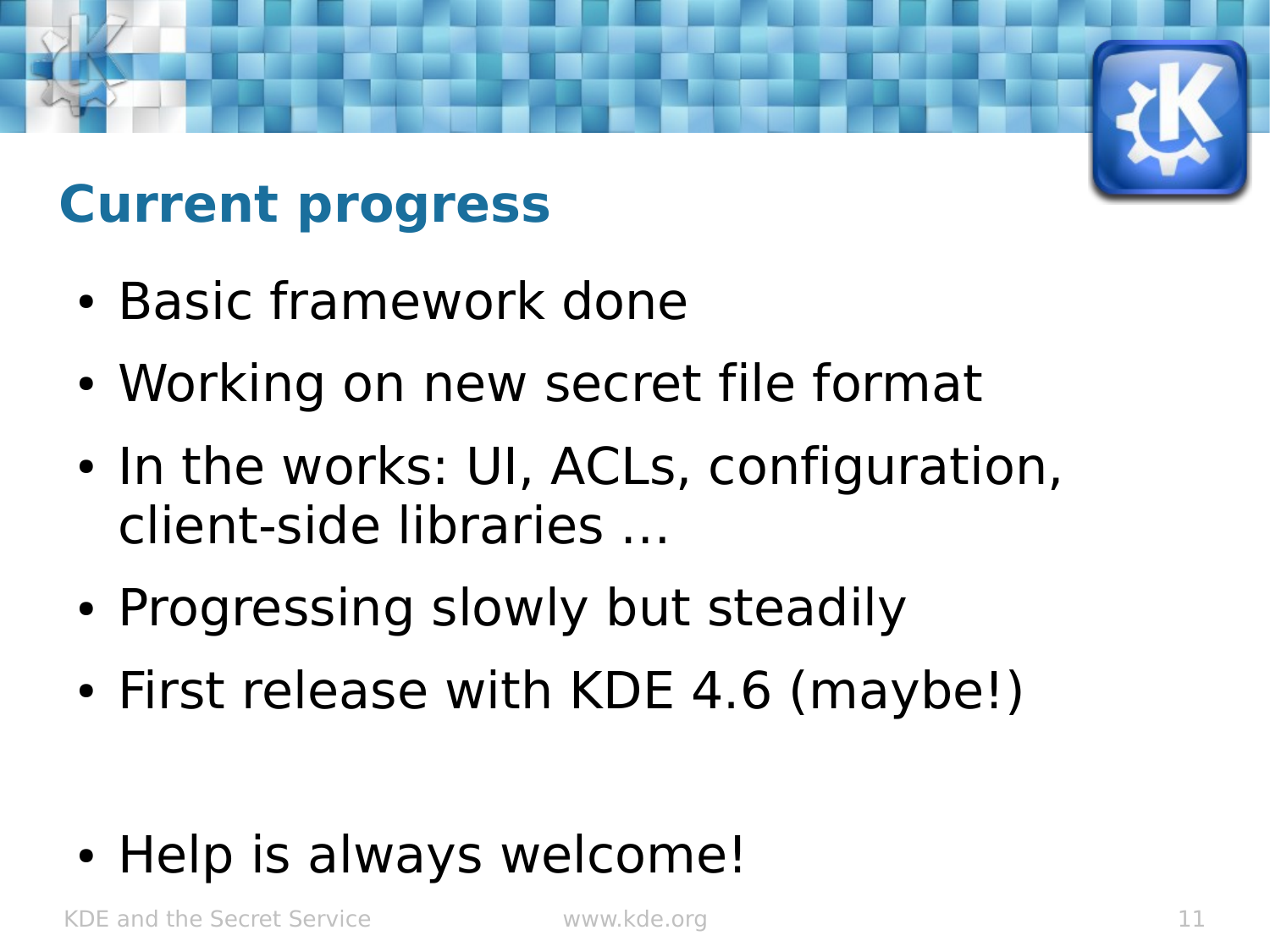#### **Current progress**

- Basic framework done
- Working on new secret file format
- In the works: UI, ACLs, configuration, client-side libraries …
- Progressing slowly but steadily
- First release with KDE 4.6 (maybe!)

• Help is always welcome!